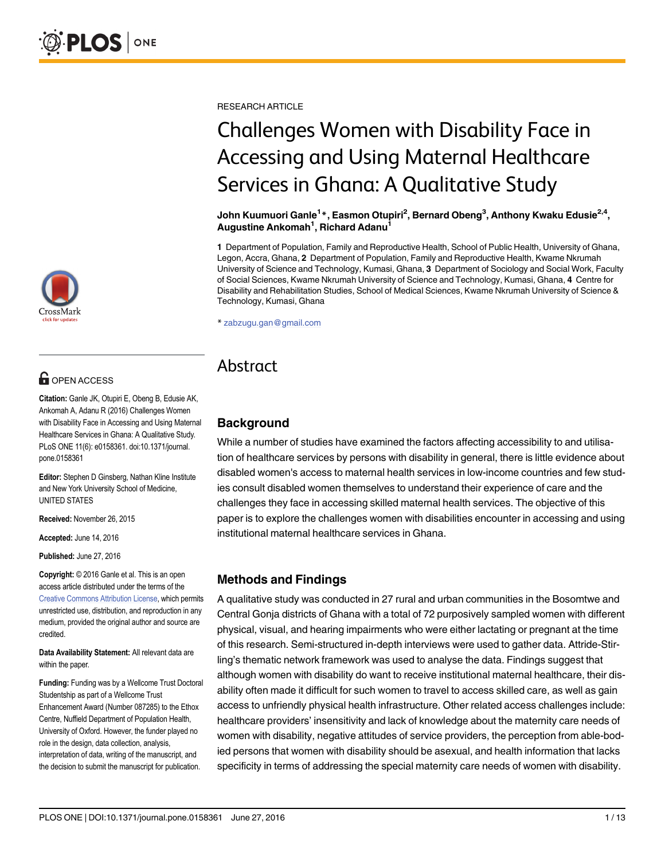

# **OPEN ACCESS**

Citation: Ganle JK, Otupiri E, Obeng B, Edusie AK, Ankomah A, Adanu R (2016) Challenges Women with Disability Face in Accessing and Using Maternal Healthcare Services in Ghana: A Qualitative Study. PLoS ONE 11(6): e0158361. doi:10.1371/journal. pone.0158361

Editor: Stephen D Ginsberg, Nathan Kline Institute and New York University School of Medicine, UNITED STATES

Received: November 26, 2015

Accepted: June 14, 2016

Published: June 27, 2016

Copyright: © 2016 Ganle et al. This is an open access article distributed under the terms of the [Creative Commons Attribution License,](http://creativecommons.org/licenses/by/4.0/) which permits unrestricted use, distribution, and reproduction in any medium, provided the original author and source are credited.

Data Availability Statement: All relevant data are within the paper.

Funding: Funding was by a Wellcome Trust Doctoral Studentship as part of a Wellcome Trust Enhancement Award (Number 087285) to the Ethox Centre, Nuffield Department of Population Health, University of Oxford. However, the funder played no role in the design, data collection, analysis, interpretation of data, writing of the manuscript, and the decision to submit the manuscript for publication.

RESEARCH ARTICLE

# Challenges Women with Disability Face in Accessing and Using Maternal Healthcare Services in Ghana: A Qualitative Study

John Kuumuori Ganle<sup>1</sup>\*, Easmon Otupiri<sup>2</sup>, Bernard Obeng<sup>3</sup>, Anthony Kwaku Edusie<sup>2,4</sup>, Augustine Ankomah<sup>1</sup>, Richard Adanu<sup>1</sup>

1 Department of Population, Family and Reproductive Health, School of Public Health, University of Ghana, Legon, Accra, Ghana, 2 Department of Population, Family and Reproductive Health, Kwame Nkrumah University of Science and Technology, Kumasi, Ghana, 3 Department of Sociology and Social Work, Faculty of Social Sciences, Kwame Nkrumah University of Science and Technology, Kumasi, Ghana, 4 Centre for Disability and Rehabilitation Studies, School of Medical Sciences, Kwame Nkrumah University of Science & Technology, Kumasi, Ghana

\* zabzugu.gan@gmail.com

# Abstract

# **Background**

While a number of studies have examined the factors affecting accessibility to and utilisation of healthcare services by persons with disability in general, there is little evidence about disabled women's access to maternal health services in low-income countries and few studies consult disabled women themselves to understand their experience of care and the challenges they face in accessing skilled maternal health services. The objective of this paper is to explore the challenges women with disabilities encounter in accessing and using institutional maternal healthcare services in Ghana.

# Methods and Findings

A qualitative study was conducted in 27 rural and urban communities in the Bosomtwe and Central Gonja districts of Ghana with a total of 72 purposively sampled women with different physical, visual, and hearing impairments who were either lactating or pregnant at the time of this research. Semi-structured in-depth interviews were used to gather data. Attride-Stirling's thematic network framework was used to analyse the data. Findings suggest that although women with disability do want to receive institutional maternal healthcare, their disability often made it difficult for such women to travel to access skilled care, as well as gain access to unfriendly physical health infrastructure. Other related access challenges include: healthcare providers' insensitivity and lack of knowledge about the maternity care needs of women with disability, negative attitudes of service providers, the perception from able-bodied persons that women with disability should be asexual, and health information that lacks specificity in terms of addressing the special maternity care needs of women with disability.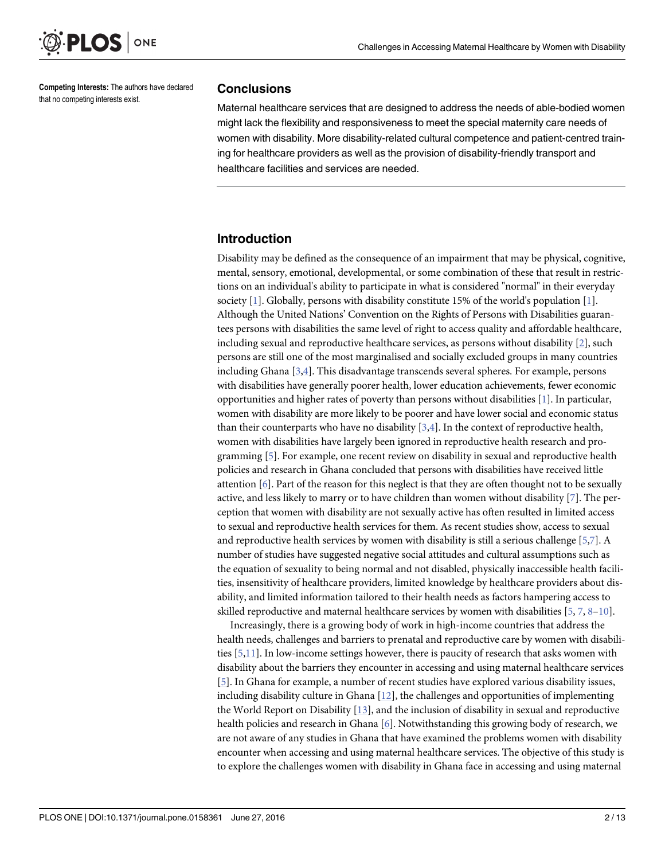<span id="page-1-0"></span>

Competing Interests: The authors have declared that no competing interests exist.

#### **Conclusions**

Maternal healthcare services that are designed to address the needs of able-bodied women might lack the flexibility and responsiveness to meet the special maternity care needs of women with disability. More disability-related cultural competence and patient-centred training for healthcare providers as well as the provision of disability-friendly transport and healthcare facilities and services are needed.

# Introduction

Disability may be defined as the consequence of an impairment that may be physical, cognitive, mental, sensory, emotional, developmental, or some combination of these that result in restrictions on an individual's ability to participate in what is considered "normal" in their everyday society [[1\]](#page-11-0). Globally, persons with disability constitute 15% of the world's population [\[1](#page-11-0)]. Although the United Nations' Convention on the Rights of Persons with Disabilities guarantees persons with disabilities the same level of right to access quality and affordable healthcare, including sexual and reproductive healthcare services, as persons without disability [\[2](#page-11-0)], such persons are still one of the most marginalised and socially excluded groups in many countries including Ghana [\[3,4\]](#page-11-0). This disadvantage transcends several spheres. For example, persons with disabilities have generally poorer health, lower education achievements, fewer economic opportunities and higher rates of poverty than persons without disabilities [[1\]](#page-11-0). In particular, women with disability are more likely to be poorer and have lower social and economic status than their counterparts who have no disability  $[3,4]$  $[3,4]$ . In the context of reproductive health, women with disabilities have largely been ignored in reproductive health research and programming [\[5\]](#page-11-0). For example, one recent review on disability in sexual and reproductive health policies and research in Ghana concluded that persons with disabilities have received little attention  $[6]$  $[6]$ . Part of the reason for this neglect is that they are often thought not to be sexually active, and less likely to marry or to have children than women without disability [\[7\]](#page-11-0). The perception that women with disability are not sexually active has often resulted in limited access to sexual and reproductive health services for them. As recent studies show, access to sexual and reproductive health services by women with disability is still a serious challenge [\[5,7\]](#page-11-0). A number of studies have suggested negative social attitudes and cultural assumptions such as the equation of sexuality to being normal and not disabled, physically inaccessible health facilities, insensitivity of healthcare providers, limited knowledge by healthcare providers about disability, and limited information tailored to their health needs as factors hampering access to skilled reproductive and maternal healthcare services by women with disabilities [[5,](#page-11-0) [7,](#page-11-0) [8](#page-11-0)–[10\]](#page-12-0).

Increasingly, there is a growing body of work in high-income countries that address the health needs, challenges and barriers to prenatal and reproductive care by women with disabilities [\[5,](#page-11-0)[11\]](#page-12-0). In low-income settings however, there is paucity of research that asks women with disability about the barriers they encounter in accessing and using maternal healthcare services [\[5](#page-11-0)]. In Ghana for example, a number of recent studies have explored various disability issues, including disability culture in Ghana [[12\]](#page-12-0), the challenges and opportunities of implementing the World Report on Disability [[13\]](#page-12-0), and the inclusion of disability in sexual and reproductive health policies and research in Ghana [\[6\]](#page-11-0). Notwithstanding this growing body of research, we are not aware of any studies in Ghana that have examined the problems women with disability encounter when accessing and using maternal healthcare services. The objective of this study is to explore the challenges women with disability in Ghana face in accessing and using maternal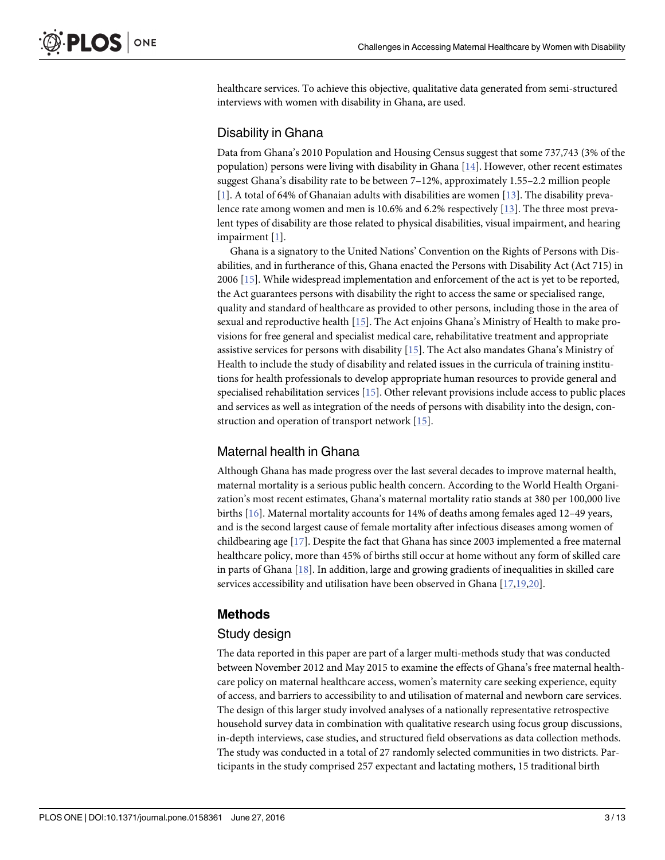<span id="page-2-0"></span>healthcare services. To achieve this objective, qualitative data generated from semi-structured interviews with women with disability in Ghana, are used.

# Disability in Ghana

Data from Ghana's 2010 Population and Housing Census suggest that some 737,743 (3% of the population) persons were living with disability in Ghana  $[14]$  $[14]$ . However, other recent estimates suggest Ghana's disability rate to be between 7–12%, approximately 1.55–2.2 million people [\[1](#page-11-0)]. A total of 64% of Ghanaian adults with disabilities are women [[13](#page-12-0)]. The disability prevalence rate among women and men is 10.6% and 6.2% respectively [\[13\]](#page-12-0). The three most prevalent types of disability are those related to physical disabilities, visual impairment, and hearing impairment [[1\]](#page-11-0).

Ghana is a signatory to the United Nations' Convention on the Rights of Persons with Disabilities, and in furtherance of this, Ghana enacted the Persons with Disability Act (Act 715) in 2006 [[15](#page-12-0)]. While widespread implementation and enforcement of the act is yet to be reported, the Act guarantees persons with disability the right to access the same or specialised range, quality and standard of healthcare as provided to other persons, including those in the area of sexual and reproductive health [\[15\]](#page-12-0). The Act enjoins Ghana's Ministry of Health to make provisions for free general and specialist medical care, rehabilitative treatment and appropriate assistive services for persons with disability [[15](#page-12-0)]. The Act also mandates Ghana's Ministry of Health to include the study of disability and related issues in the curricula of training institutions for health professionals to develop appropriate human resources to provide general and specialised rehabilitation services [[15](#page-12-0)]. Other relevant provisions include access to public places and services as well as integration of the needs of persons with disability into the design, construction and operation of transport network [[15](#page-12-0)].

# Maternal health in Ghana

Although Ghana has made progress over the last several decades to improve maternal health, maternal mortality is a serious public health concern. According to the World Health Organization's most recent estimates, Ghana's maternal mortality ratio stands at 380 per 100,000 live births [[16\]](#page-12-0). Maternal mortality accounts for 14% of deaths among females aged 12–49 years, and is the second largest cause of female mortality after infectious diseases among women of childbearing age [[17](#page-12-0)]. Despite the fact that Ghana has since 2003 implemented a free maternal healthcare policy, more than 45% of births still occur at home without any form of skilled care in parts of Ghana [[18](#page-12-0)]. In addition, large and growing gradients of inequalities in skilled care services accessibility and utilisation have been observed in Ghana [\[17,19,20\]](#page-12-0).

# Methods

#### Study design

The data reported in this paper are part of a larger multi-methods study that was conducted between November 2012 and May 2015 to examine the effects of Ghana's free maternal healthcare policy on maternal healthcare access, women's maternity care seeking experience, equity of access, and barriers to accessibility to and utilisation of maternal and newborn care services. The design of this larger study involved analyses of a nationally representative retrospective household survey data in combination with qualitative research using focus group discussions, in-depth interviews, case studies, and structured field observations as data collection methods. The study was conducted in a total of 27 randomly selected communities in two districts. Participants in the study comprised 257 expectant and lactating mothers, 15 traditional birth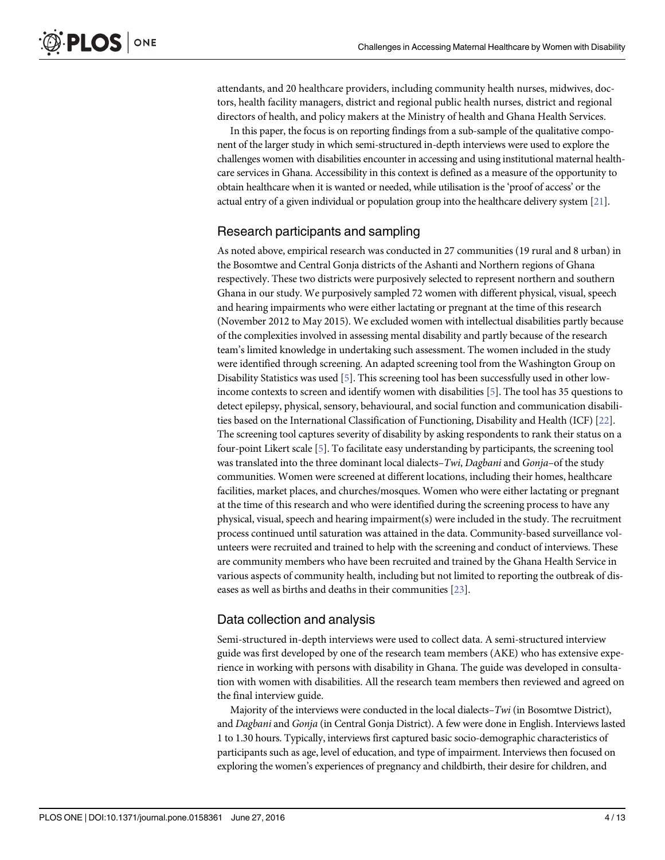<span id="page-3-0"></span>attendants, and 20 healthcare providers, including community health nurses, midwives, doctors, health facility managers, district and regional public health nurses, district and regional directors of health, and policy makers at the Ministry of health and Ghana Health Services.

In this paper, the focus is on reporting findings from a sub-sample of the qualitative component of the larger study in which semi-structured in-depth interviews were used to explore the challenges women with disabilities encounter in accessing and using institutional maternal healthcare services in Ghana. Accessibility in this context is defined as a measure of the opportunity to obtain healthcare when it is wanted or needed, while utilisation is the 'proof of access' or the actual entry of a given individual or population group into the healthcare delivery system  $[2]$ .

#### Research participants and sampling

As noted above, empirical research was conducted in 27 communities (19 rural and 8 urban) in the Bosomtwe and Central Gonja districts of the Ashanti and Northern regions of Ghana respectively. These two districts were purposively selected to represent northern and southern Ghana in our study. We purposively sampled 72 women with different physical, visual, speech and hearing impairments who were either lactating or pregnant at the time of this research (November 2012 to May 2015). We excluded women with intellectual disabilities partly because of the complexities involved in assessing mental disability and partly because of the research team's limited knowledge in undertaking such assessment. The women included in the study were identified through screening. An adapted screening tool from the Washington Group on Disability Statistics was used [\[5\]](#page-11-0). This screening tool has been successfully used in other lowincome contexts to screen and identify women with disabilities [\[5\]](#page-11-0). The tool has 35 questions to detect epilepsy, physical, sensory, behavioural, and social function and communication disabilities based on the International Classification of Functioning, Disability and Health (ICF) [[22](#page-12-0)]. The screening tool captures severity of disability by asking respondents to rank their status on a four-point Likert scale [\[5\]](#page-11-0). To facilitate easy understanding by participants, the screening tool was translated into the three dominant local dialects–Twi, Dagbani and Gonja-of the study communities. Women were screened at different locations, including their homes, healthcare facilities, market places, and churches/mosques. Women who were either lactating or pregnant at the time of this research and who were identified during the screening process to have any physical, visual, speech and hearing impairment(s) were included in the study. The recruitment process continued until saturation was attained in the data. Community-based surveillance volunteers were recruited and trained to help with the screening and conduct of interviews. These are community members who have been recruited and trained by the Ghana Health Service in various aspects of community health, including but not limited to reporting the outbreak of diseases as well as births and deaths in their communities [\[23\]](#page-12-0).

# Data collection and analysis

Semi-structured in-depth interviews were used to collect data. A semi-structured interview guide was first developed by one of the research team members (AKE) who has extensive experience in working with persons with disability in Ghana. The guide was developed in consultation with women with disabilities. All the research team members then reviewed and agreed on the final interview guide.

Majority of the interviews were conducted in the local dialects– $Twi$  (in Bosomtwe District), and Dagbani and Gonja (in Central Gonja District). A few were done in English. Interviews lasted 1 to 1.30 hours. Typically, interviews first captured basic socio-demographic characteristics of participants such as age, level of education, and type of impairment. Interviews then focused on exploring the women's experiences of pregnancy and childbirth, their desire for children, and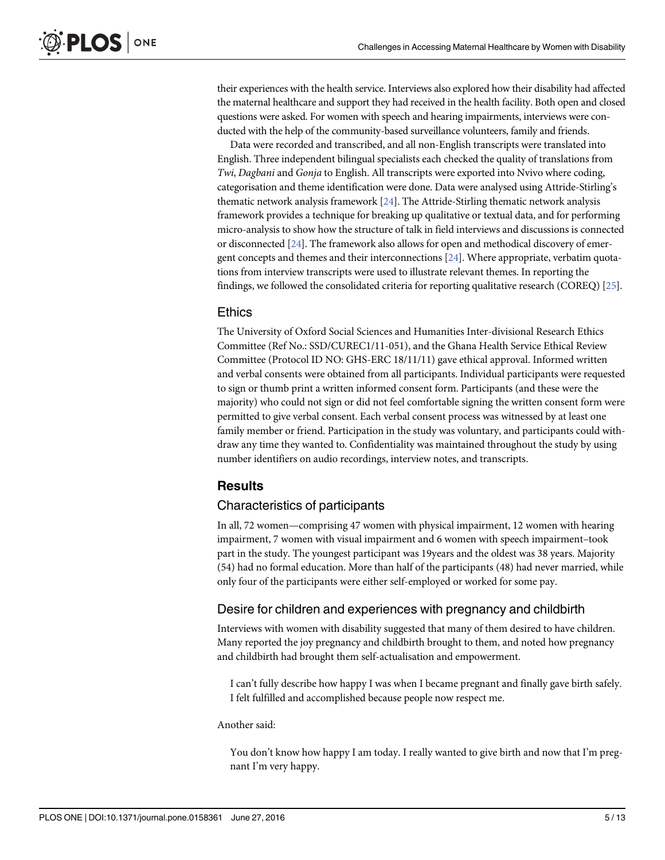<span id="page-4-0"></span>their experiences with the health service. Interviews also explored how their disability had affected the maternal healthcare and support they had received in the health facility. Both open and closed questions were asked. For women with speech and hearing impairments, interviews were conducted with the help of the community-based surveillance volunteers, family and friends.

Data were recorded and transcribed, and all non-English transcripts were translated into English. Three independent bilingual specialists each checked the quality of translations from Twi, Dagbani and Gonja to English. All transcripts were exported into Nvivo where coding, categorisation and theme identification were done. Data were analysed using Attride-Stirling's thematic network analysis framework [\[24\]](#page-12-0). The Attride-Stirling thematic network analysis framework provides a technique for breaking up qualitative or textual data, and for performing micro-analysis to show how the structure of talk in field interviews and discussions is connected or disconnected [\[24](#page-12-0)]. The framework also allows for open and methodical discovery of emergent concepts and themes and their interconnections [[24](#page-12-0)]. Where appropriate, verbatim quotations from interview transcripts were used to illustrate relevant themes. In reporting the findings, we followed the consolidated criteria for reporting qualitative research (COREQ) [\[25\]](#page-12-0).

#### Ethics

The University of Oxford Social Sciences and Humanities Inter-divisional Research Ethics Committee (Ref No.: SSD/CUREC1/11-051), and the Ghana Health Service Ethical Review Committee (Protocol ID NO: GHS-ERC 18/11/11) gave ethical approval. Informed written and verbal consents were obtained from all participants. Individual participants were requested to sign or thumb print a written informed consent form. Participants (and these were the majority) who could not sign or did not feel comfortable signing the written consent form were permitted to give verbal consent. Each verbal consent process was witnessed by at least one family member or friend. Participation in the study was voluntary, and participants could withdraw any time they wanted to. Confidentiality was maintained throughout the study by using number identifiers on audio recordings, interview notes, and transcripts.

#### **Results**

#### Characteristics of participants

In all, 72 women—comprising 47 women with physical impairment, 12 women with hearing impairment, 7 women with visual impairment and 6 women with speech impairment–took part in the study. The youngest participant was 19years and the oldest was 38 years. Majority (54) had no formal education. More than half of the participants (48) had never married, while only four of the participants were either self-employed or worked for some pay.

#### Desire for children and experiences with pregnancy and childbirth

Interviews with women with disability suggested that many of them desired to have children. Many reported the joy pregnancy and childbirth brought to them, and noted how pregnancy and childbirth had brought them self-actualisation and empowerment.

I can't fully describe how happy I was when I became pregnant and finally gave birth safely. I felt fulfilled and accomplished because people now respect me.

#### Another said:

You don't know how happy I am today. I really wanted to give birth and now that I'm pregnant I'm very happy.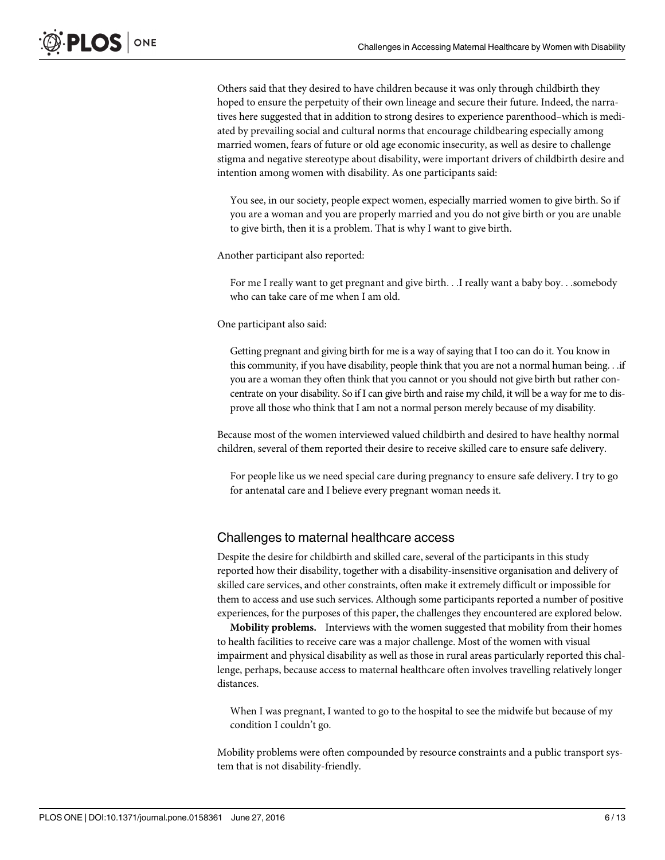Others said that they desired to have children because it was only through childbirth they hoped to ensure the perpetuity of their own lineage and secure their future. Indeed, the narratives here suggested that in addition to strong desires to experience parenthood–which is mediated by prevailing social and cultural norms that encourage childbearing especially among married women, fears of future or old age economic insecurity, as well as desire to challenge stigma and negative stereotype about disability, were important drivers of childbirth desire and intention among women with disability. As one participants said:

You see, in our society, people expect women, especially married women to give birth. So if you are a woman and you are properly married and you do not give birth or you are unable to give birth, then it is a problem. That is why I want to give birth.

Another participant also reported:

For me I really want to get pregnant and give birth...I really want a baby boy...somebody who can take care of me when I am old.

One participant also said:

Getting pregnant and giving birth for me is a way of saying that I too can do it. You know in this community, if you have disability, people think that you are not a normal human being...if you are a woman they often think that you cannot or you should not give birth but rather concentrate on your disability. So if I can give birth and raise my child, it will be a way for me to disprove all those who think that I am not a normal person merely because of my disability.

Because most of the women interviewed valued childbirth and desired to have healthy normal children, several of them reported their desire to receive skilled care to ensure safe delivery.

For people like us we need special care during pregnancy to ensure safe delivery. I try to go for antenatal care and I believe every pregnant woman needs it.

#### Challenges to maternal healthcare access

Despite the desire for childbirth and skilled care, several of the participants in this study reported how their disability, together with a disability-insensitive organisation and delivery of skilled care services, and other constraints, often make it extremely difficult or impossible for them to access and use such services. Although some participants reported a number of positive experiences, for the purposes of this paper, the challenges they encountered are explored below.

**Mobility problems.** Interviews with the women suggested that mobility from their homes to health facilities to receive care was a major challenge. Most of the women with visual impairment and physical disability as well as those in rural areas particularly reported this challenge, perhaps, because access to maternal healthcare often involves travelling relatively longer distances.

When I was pregnant, I wanted to go to the hospital to see the midwife but because of my condition I couldn't go.

Mobility problems were often compounded by resource constraints and a public transport system that is not disability-friendly.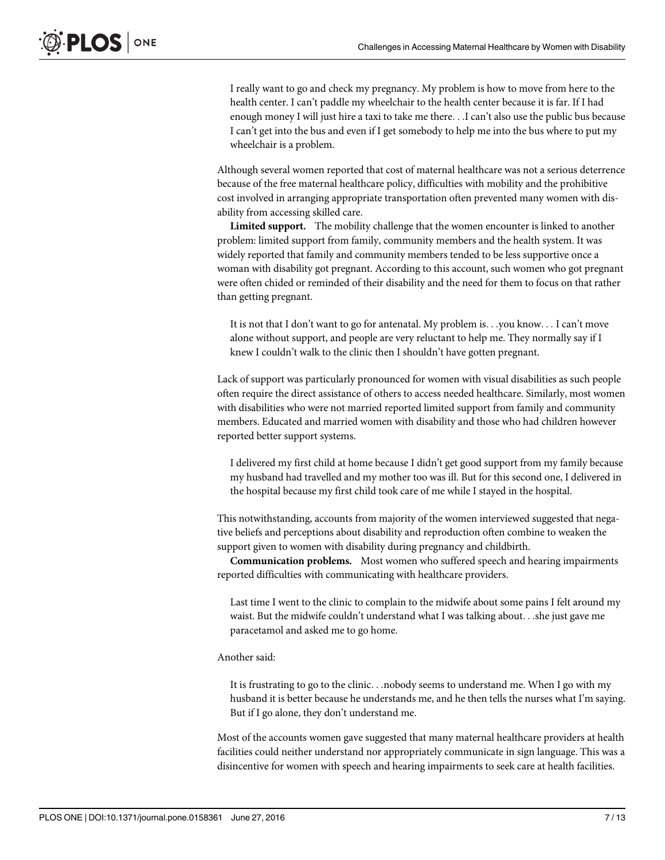I really want to go and check my pregnancy. My problem is how to move from here to the health center. I can't paddle my wheelchair to the health center because it is far. If I had enough money I will just hire a taxi to take me there...I can't also use the public bus because I can't get into the bus and even if I get somebody to help me into the bus where to put my wheelchair is a problem.

Although several women reported that cost of maternal healthcare was not a serious deterrence because of the free maternal healthcare policy, difficulties with mobility and the prohibitive cost involved in arranging appropriate transportation often prevented many women with disability from accessing skilled care.

Limited support. The mobility challenge that the women encounter is linked to another problem: limited support from family, community members and the health system. It was widely reported that family and community members tended to be less supportive once a woman with disability got pregnant. According to this account, such women who got pregnant were often chided or reminded of their disability and the need for them to focus on that rather than getting pregnant.

It is not that I don't want to go for antenatal. My problem is...you know... I can't move alone without support, and people are very reluctant to help me. They normally say if I knew I couldn't walk to the clinic then I shouldn't have gotten pregnant.

Lack of support was particularly pronounced for women with visual disabilities as such people often require the direct assistance of others to access needed healthcare. Similarly, most women with disabilities who were not married reported limited support from family and community members. Educated and married women with disability and those who had children however reported better support systems.

I delivered my first child at home because I didn't get good support from my family because my husband had travelled and my mother too was ill. But for this second one, I delivered in the hospital because my first child took care of me while I stayed in the hospital.

This notwithstanding, accounts from majority of the women interviewed suggested that negative beliefs and perceptions about disability and reproduction often combine to weaken the support given to women with disability during pregnancy and childbirth.

Communication problems. Most women who suffered speech and hearing impairments reported difficulties with communicating with healthcare providers.

Last time I went to the clinic to complain to the midwife about some pains I felt around my waist. But the midwife couldn't understand what I was talking about...she just gave me paracetamol and asked me to go home.

#### Another said:

It is frustrating to go to the clinic...nobody seems to understand me. When I go with my husband it is better because he understands me, and he then tells the nurses what I'm saying. But if I go alone, they don't understand me.

Most of the accounts women gave suggested that many maternal healthcare providers at health facilities could neither understand nor appropriately communicate in sign language. This was a disincentive for women with speech and hearing impairments to seek care at health facilities.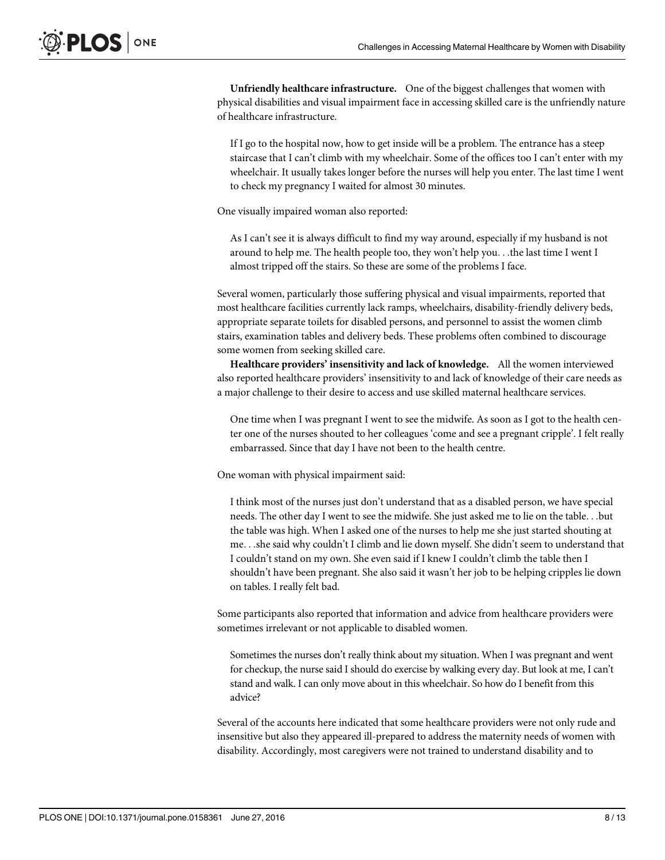Unfriendly healthcare infrastructure. One of the biggest challenges that women with physical disabilities and visual impairment face in accessing skilled care is the unfriendly nature of healthcare infrastructure.

If I go to the hospital now, how to get inside will be a problem. The entrance has a steep staircase that I can't climb with my wheelchair. Some of the offices too I can't enter with my wheelchair. It usually takes longer before the nurses will help you enter. The last time I went to check my pregnancy I waited for almost 30 minutes.

One visually impaired woman also reported:

As I can't see it is always difficult to find my way around, especially if my husband is not around to help me. The health people too, they won't help you...the last time I went I almost tripped off the stairs. So these are some of the problems I face.

Several women, particularly those suffering physical and visual impairments, reported that most healthcare facilities currently lack ramps, wheelchairs, disability-friendly delivery beds, appropriate separate toilets for disabled persons, and personnel to assist the women climb stairs, examination tables and delivery beds. These problems often combined to discourage some women from seeking skilled care.

Healthcare providers' insensitivity and lack of knowledge. All the women interviewed also reported healthcare providers' insensitivity to and lack of knowledge of their care needs as a major challenge to their desire to access and use skilled maternal healthcare services.

One time when I was pregnant I went to see the midwife. As soon as I got to the health center one of the nurses shouted to her colleagues 'come and see a pregnant cripple'. I felt really embarrassed. Since that day I have not been to the health centre.

One woman with physical impairment said:

I think most of the nurses just don't understand that as a disabled person, we have special needs. The other day I went to see the midwife. She just asked me to lie on the table...but the table was high. When I asked one of the nurses to help me she just started shouting at me...she said why couldn't I climb and lie down myself. She didn't seem to understand that I couldn't stand on my own. She even said if I knew I couldn't climb the table then I shouldn't have been pregnant. She also said it wasn't her job to be helping cripples lie down on tables. I really felt bad.

Some participants also reported that information and advice from healthcare providers were sometimes irrelevant or not applicable to disabled women.

Sometimes the nurses don't really think about my situation. When I was pregnant and went for checkup, the nurse said I should do exercise by walking every day. But look at me, I can't stand and walk. I can only move about in this wheelchair. So how do I benefit from this advice?

Several of the accounts here indicated that some healthcare providers were not only rude and insensitive but also they appeared ill-prepared to address the maternity needs of women with disability. Accordingly, most caregivers were not trained to understand disability and to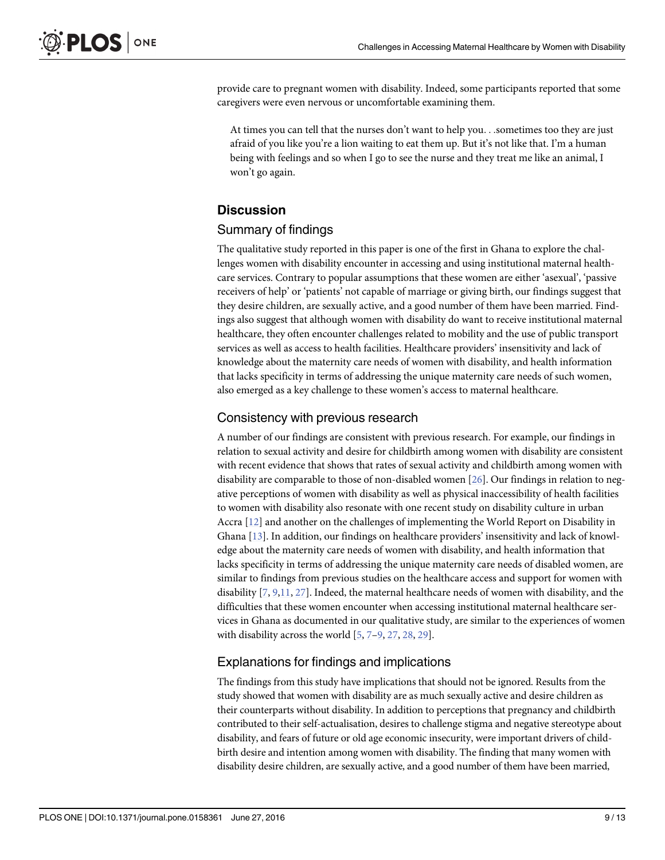<span id="page-8-0"></span>provide care to pregnant women with disability. Indeed, some participants reported that some caregivers were even nervous or uncomfortable examining them.

At times you can tell that the nurses don't want to help you...sometimes too they are just afraid of you like you're a lion waiting to eat them up. But it's not like that. I'm a human being with feelings and so when I go to see the nurse and they treat me like an animal, I won't go again.

# **Discussion**

# Summary of findings

The qualitative study reported in this paper is one of the first in Ghana to explore the challenges women with disability encounter in accessing and using institutional maternal healthcare services. Contrary to popular assumptions that these women are either 'asexual', 'passive receivers of help' or 'patients' not capable of marriage or giving birth, our findings suggest that they desire children, are sexually active, and a good number of them have been married. Findings also suggest that although women with disability do want to receive institutional maternal healthcare, they often encounter challenges related to mobility and the use of public transport services as well as access to health facilities. Healthcare providers' insensitivity and lack of knowledge about the maternity care needs of women with disability, and health information that lacks specificity in terms of addressing the unique maternity care needs of such women, also emerged as a key challenge to these women's access to maternal healthcare.

# Consistency with previous research

A number of our findings are consistent with previous research. For example, our findings in relation to sexual activity and desire for childbirth among women with disability are consistent with recent evidence that shows that rates of sexual activity and childbirth among women with disability are comparable to those of non-disabled women [[26](#page-12-0)]. Our findings in relation to negative perceptions of women with disability as well as physical inaccessibility of health facilities to women with disability also resonate with one recent study on disability culture in urban Accra [[12\]](#page-12-0) and another on the challenges of implementing the World Report on Disability in Ghana [\[13\]](#page-12-0). In addition, our findings on healthcare providers' insensitivity and lack of knowledge about the maternity care needs of women with disability, and health information that lacks specificity in terms of addressing the unique maternity care needs of disabled women, are similar to findings from previous studies on the healthcare access and support for women with disability [[7,](#page-11-0) [9,](#page-11-0)[11,](#page-12-0) [27\]](#page-12-0). Indeed, the maternal healthcare needs of women with disability, and the difficulties that these women encounter when accessing institutional maternal healthcare services in Ghana as documented in our qualitative study, are similar to the experiences of women with disability across the world  $[5, 7-9, 27, 28, 29]$  $[5, 7-9, 27, 28, 29]$  $[5, 7-9, 27, 28, 29]$  $[5, 7-9, 27, 28, 29]$  $[5, 7-9, 27, 28, 29]$  $[5, 7-9, 27, 28, 29]$  $[5, 7-9, 27, 28, 29]$  $[5, 7-9, 27, 28, 29]$  $[5, 7-9, 27, 28, 29]$  $[5, 7-9, 27, 28, 29]$  $[5, 7-9, 27, 28, 29]$  $[5, 7-9, 27, 28, 29]$  $[5, 7-9, 27, 28, 29]$ .

# Explanations for findings and implications

The findings from this study have implications that should not be ignored. Results from the study showed that women with disability are as much sexually active and desire children as their counterparts without disability. In addition to perceptions that pregnancy and childbirth contributed to their self-actualisation, desires to challenge stigma and negative stereotype about disability, and fears of future or old age economic insecurity, were important drivers of childbirth desire and intention among women with disability. The finding that many women with disability desire children, are sexually active, and a good number of them have been married,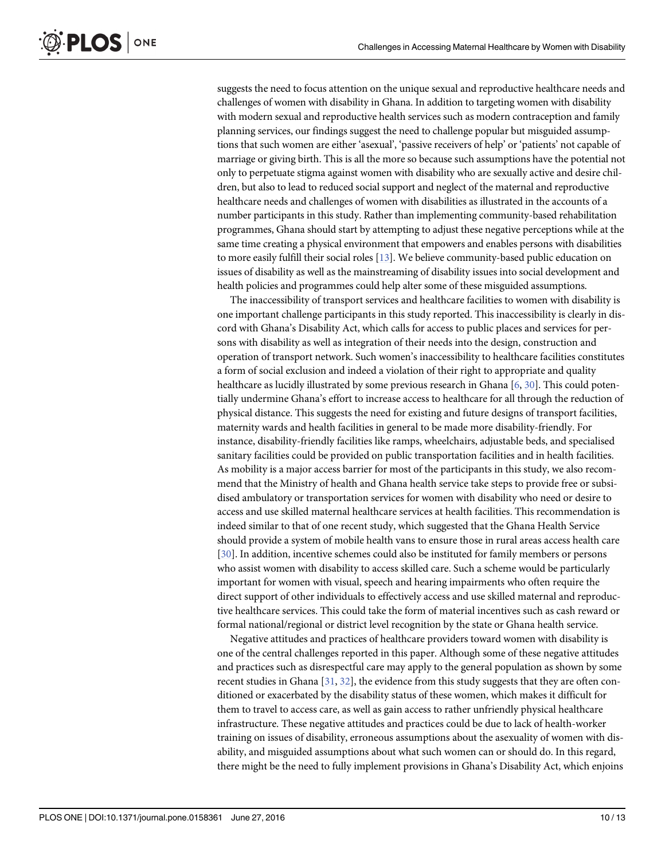<span id="page-9-0"></span>PLOS ONE

suggests the need to focus attention on the unique sexual and reproductive healthcare needs and challenges of women with disability in Ghana. In addition to targeting women with disability with modern sexual and reproductive health services such as modern contraception and family planning services, our findings suggest the need to challenge popular but misguided assumptions that such women are either 'asexual', 'passive receivers of help' or 'patients' not capable of marriage or giving birth. This is all the more so because such assumptions have the potential not only to perpetuate stigma against women with disability who are sexually active and desire children, but also to lead to reduced social support and neglect of the maternal and reproductive healthcare needs and challenges of women with disabilities as illustrated in the accounts of a number participants in this study. Rather than implementing community-based rehabilitation programmes, Ghana should start by attempting to adjust these negative perceptions while at the same time creating a physical environment that empowers and enables persons with disabilities to more easily fulfill their social roles [\[13\]](#page-12-0). We believe community-based public education on issues of disability as well as the mainstreaming of disability issues into social development and health policies and programmes could help alter some of these misguided assumptions.

The inaccessibility of transport services and healthcare facilities to women with disability is one important challenge participants in this study reported. This inaccessibility is clearly in discord with Ghana's Disability Act, which calls for access to public places and services for persons with disability as well as integration of their needs into the design, construction and operation of transport network. Such women's inaccessibility to healthcare facilities constitutes a form of social exclusion and indeed a violation of their right to appropriate and quality healthcare as lucidly illustrated by some previous research in Ghana [[6](#page-11-0), [30](#page-12-0)]. This could potentially undermine Ghana's effort to increase access to healthcare for all through the reduction of physical distance. This suggests the need for existing and future designs of transport facilities, maternity wards and health facilities in general to be made more disability-friendly. For instance, disability-friendly facilities like ramps, wheelchairs, adjustable beds, and specialised sanitary facilities could be provided on public transportation facilities and in health facilities. As mobility is a major access barrier for most of the participants in this study, we also recommend that the Ministry of health and Ghana health service take steps to provide free or subsidised ambulatory or transportation services for women with disability who need or desire to access and use skilled maternal healthcare services at health facilities. This recommendation is indeed similar to that of one recent study, which suggested that the Ghana Health Service should provide a system of mobile health vans to ensure those in rural areas access health care [\[30](#page-12-0)]. In addition, incentive schemes could also be instituted for family members or persons who assist women with disability to access skilled care. Such a scheme would be particularly important for women with visual, speech and hearing impairments who often require the direct support of other individuals to effectively access and use skilled maternal and reproductive healthcare services. This could take the form of material incentives such as cash reward or formal national/regional or district level recognition by the state or Ghana health service.

Negative attitudes and practices of healthcare providers toward women with disability is one of the central challenges reported in this paper. Although some of these negative attitudes and practices such as disrespectful care may apply to the general population as shown by some recent studies in Ghana  $[31, 32]$  $[31, 32]$  $[31, 32]$  $[31, 32]$ , the evidence from this study suggests that they are often conditioned or exacerbated by the disability status of these women, which makes it difficult for them to travel to access care, as well as gain access to rather unfriendly physical healthcare infrastructure. These negative attitudes and practices could be due to lack of health-worker training on issues of disability, erroneous assumptions about the asexuality of women with disability, and misguided assumptions about what such women can or should do. In this regard, there might be the need to fully implement provisions in Ghana's Disability Act, which enjoins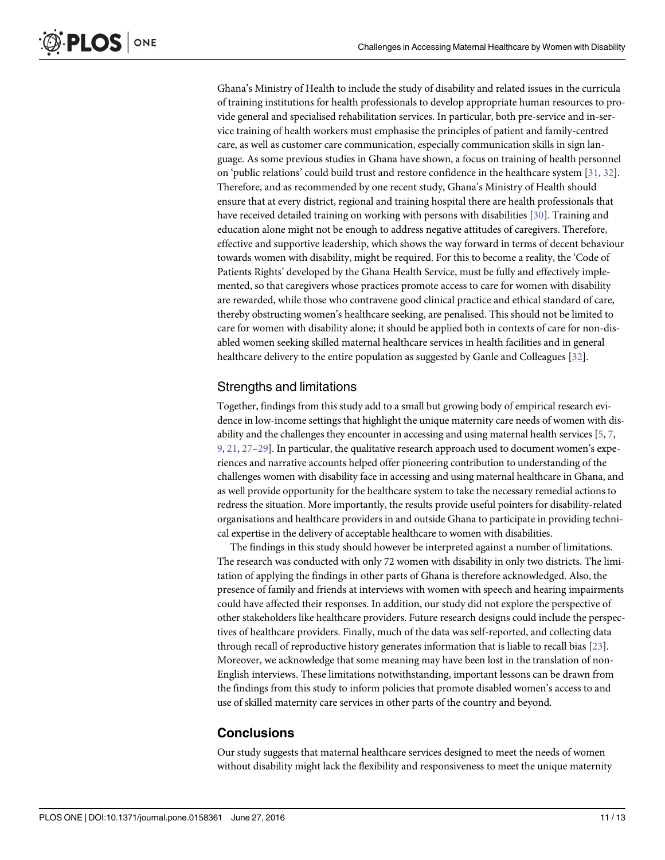Ghana's Ministry of Health to include the study of disability and related issues in the curricula of training institutions for health professionals to develop appropriate human resources to provide general and specialised rehabilitation services. In particular, both pre-service and in-service training of health workers must emphasise the principles of patient and family-centred care, as well as customer care communication, especially communication skills in sign language. As some previous studies in Ghana have shown, a focus on training of health personnel on 'public relations' could build trust and restore confidence in the healthcare system [[31](#page-12-0), [32](#page-12-0)]. Therefore, and as recommended by one recent study, Ghana's Ministry of Health should ensure that at every district, regional and training hospital there are health professionals that have received detailed training on working with persons with disabilities [\[30\]](#page-12-0). Training and education alone might not be enough to address negative attitudes of caregivers. Therefore, effective and supportive leadership, which shows the way forward in terms of decent behaviour towards women with disability, might be required. For this to become a reality, the 'Code of Patients Rights' developed by the Ghana Health Service, must be fully and effectively implemented, so that caregivers whose practices promote access to care for women with disability are rewarded, while those who contravene good clinical practice and ethical standard of care, thereby obstructing women's healthcare seeking, are penalised. This should not be limited to care for women with disability alone; it should be applied both in contexts of care for non-disabled women seeking skilled maternal healthcare services in health facilities and in general healthcare delivery to the entire population as suggested by Ganle and Colleagues [[32](#page-12-0)].

#### Strengths and limitations

Together, findings from this study add to a small but growing body of empirical research evidence in low-income settings that highlight the unique maternity care needs of women with disability and the challenges they encounter in accessing and using maternal health services [[5,](#page-11-0) [7,](#page-11-0) [9,](#page-11-0) [21,](#page-12-0) [27](#page-12-0)–[29\]](#page-12-0). In particular, the qualitative research approach used to document women's experiences and narrative accounts helped offer pioneering contribution to understanding of the challenges women with disability face in accessing and using maternal healthcare in Ghana, and as well provide opportunity for the healthcare system to take the necessary remedial actions to redress the situation. More importantly, the results provide useful pointers for disability-related organisations and healthcare providers in and outside Ghana to participate in providing technical expertise in the delivery of acceptable healthcare to women with disabilities.

The findings in this study should however be interpreted against a number of limitations. The research was conducted with only 72 women with disability in only two districts. The limitation of applying the findings in other parts of Ghana is therefore acknowledged. Also, the presence of family and friends at interviews with women with speech and hearing impairments could have affected their responses. In addition, our study did not explore the perspective of other stakeholders like healthcare providers. Future research designs could include the perspectives of healthcare providers. Finally, much of the data was self-reported, and collecting data through recall of reproductive history generates information that is liable to recall bias [[23](#page-12-0)]. Moreover, we acknowledge that some meaning may have been lost in the translation of non-English interviews. These limitations notwithstanding, important lessons can be drawn from the findings from this study to inform policies that promote disabled women's access to and use of skilled maternity care services in other parts of the country and beyond.

# **Conclusions**

Our study suggests that maternal healthcare services designed to meet the needs of women without disability might lack the flexibility and responsiveness to meet the unique maternity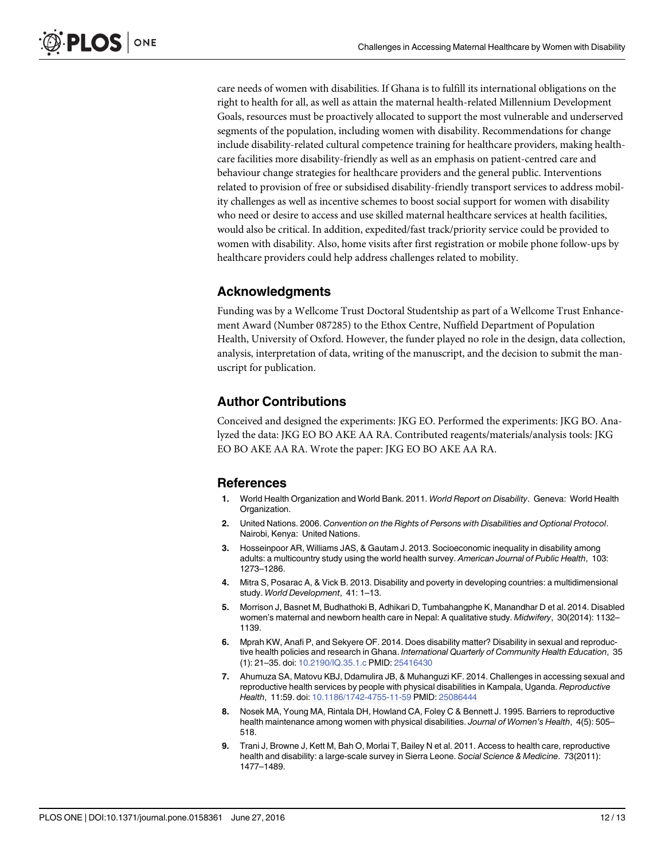<span id="page-11-0"></span>care needs of women with disabilities. If Ghana is to fulfill its international obligations on the right to health for all, as well as attain the maternal health-related Millennium Development Goals, resources must be proactively allocated to support the most vulnerable and underserved segments of the population, including women with disability. Recommendations for change include disability-related cultural competence training for healthcare providers, making healthcare facilities more disability-friendly as well as an emphasis on patient-centred care and behaviour change strategies for healthcare providers and the general public. Interventions related to provision of free or subsidised disability-friendly transport services to address mobility challenges as well as incentive schemes to boost social support for women with disability who need or desire to access and use skilled maternal healthcare services at health facilities, would also be critical. In addition, expedited/fast track/priority service could be provided to women with disability. Also, home visits after first registration or mobile phone follow-ups by healthcare providers could help address challenges related to mobility.

# Acknowledgments

Funding was by a Wellcome Trust Doctoral Studentship as part of a Wellcome Trust Enhancement Award (Number 087285) to the Ethox Centre, Nuffield Department of Population Health, University of Oxford. However, the funder played no role in the design, data collection, analysis, interpretation of data, writing of the manuscript, and the decision to submit the manuscript for publication.

# Author Contributions

Conceived and designed the experiments: JKG EO. Performed the experiments: JKG BO. Analyzed the data: JKG EO BO AKE AA RA. Contributed reagents/materials/analysis tools: JKG EO BO AKE AA RA. Wrote the paper: JKG EO BO AKE AA RA.

# References

- [1.](#page-1-0) World Health Organization and World Bank. 2011. World Report on Disability. Geneva: World Health Organization.
- [2.](#page-1-0) United Nations. 2006. Convention on the Rights of Persons with Disabilities and Optional Protocol. Nairobi, Kenya: United Nations.
- [3.](#page-1-0) Hosseinpoor AR, Williams JAS, & Gautam J. 2013. Socioeconomic inequality in disability among adults: a multicountry study using the world health survey. American Journal of Public Health, 103: 1273–1286.
- [4.](#page-1-0) Mitra S, Posarac A, & Vick B. 2013. Disability and poverty in developing countries: a multidimensional study. World Development, 41: 1–13.
- [5.](#page-1-0) Morrison J, Basnet M, Budhathoki B, Adhikari D, Tumbahangphe K, Manandhar D et al. 2014. Disabled women's maternal and newborn health care in Nepal: A qualitative study. Midwifery, 30(2014): 1132– 1139.
- [6.](#page-1-0) Mprah KW, Anafi P, and Sekyere OF. 2014. Does disability matter? Disability in sexual and reproductive health policies and research in Ghana. International Quarterly of Community Health Education, 35 (1): 21–35. doi: [10.2190/IQ.35.1.c](http://dx.doi.org/10.2190/IQ.35.1.c) PMID: [25416430](http://www.ncbi.nlm.nih.gov/pubmed/25416430)
- [7.](#page-1-0) Ahumuza SA, Matovu KBJ, Ddamulira JB, & Muhanguzi KF. 2014. Challenges in accessing sexual and reproductive health services by people with physical disabilities in Kampala, Uganda. Reproductive Health, 11:59. doi: [10.1186/1742-4755-11-59](http://dx.doi.org/10.1186/1742-4755-11-59) PMID: [25086444](http://www.ncbi.nlm.nih.gov/pubmed/25086444)
- [8.](#page-1-0) Nosek MA, Young MA, Rintala DH, Howland CA, Foley C & Bennett J. 1995. Barriers to reproductive health maintenance among women with physical disabilities. Journal of Women's Health, 4(5): 505-518.
- [9.](#page-8-0) Trani J, Browne J, Kett M, Bah O, Morlai T, Bailey N et al. 2011. Access to health care, reproductive health and disability: a large-scale survey in Sierra Leone. Social Science & Medicine. 73(2011): 1477–1489.